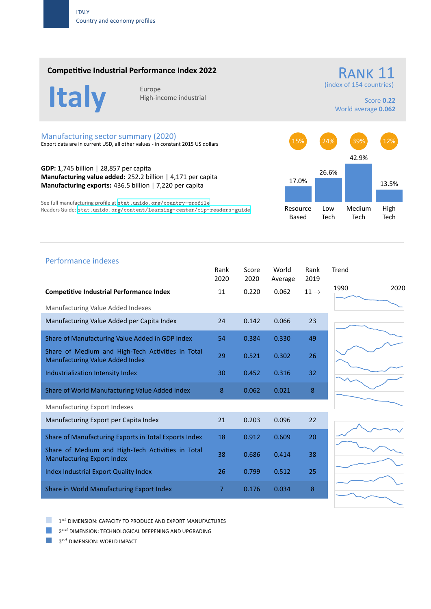#### **Competitive Industrial Performance Index 2022**



High‐income industrial

(index of 154 countries)

Score **0.22** World average **0.062**

RANK 11

## Manufacturing sector summary (2020)

Export data are in current USD, all other values ‐ in constant 2015 US dollars

**GDP:** 1,745 billion | 28,857 per capita **Manufacturing value added:** 252.2 billion | 4,171 per capita **Manufacturing exports:** 436.5 billion | 7,220 per capita

See full manufacturing profile at stat.unido.org/country-profile Readers Guide: stat.unido.org/content/learning-center/cip-readers-guide



# 1990 2020 Performance indexes Rank Score World Rank Trend 2020 2020 Average 2019 **Competitive Industrial Performance Index 11 1 1 0.220 0.062 11 →** Manufacturing Value Added Indexes Manufacturing Value Added per Capita Index 24 0.142 0.066 23 Share of Manufacturing Value Added in GDP Index 54 0.384 0.330 49 Share of Medium and High‐Tech Activities in Total Share of Medium and High-fech Activities in Total 29 0.521 0.302 26 Industrialization Intensity Index 30 0.452 0.316 32 Share of World Manufacturing Value Added Index 8 0.062 0.021 8 Manufacturing Export Indexes Manufacturing Export per Capita Index 21 0.203 0.096 22 Share of Manufacturing Exports in Total Exports Index 18 0.912 0.609 20 Share of Medium and High‐Tech Activities in Total Share of Medium and High-fech Activities in fotor 38 0.686 0.414 38<br>Manufacturing Export Index Index Industrial Export Quality Index 26 0.799 0.512 25 Share in World Manufacturing Export Index **7** 0.176 0.034 8

a a s 1 *st* DIMENSION: CAPACITY TO PRODUCE AND EXPORT MANUFACTURES

 $2^{nd}$  DIMENSION: TECHNOLOGICAL DEEPENING AND UPGRADING

 $3^{rd}$  DIMENSION: WORLD IMPACT